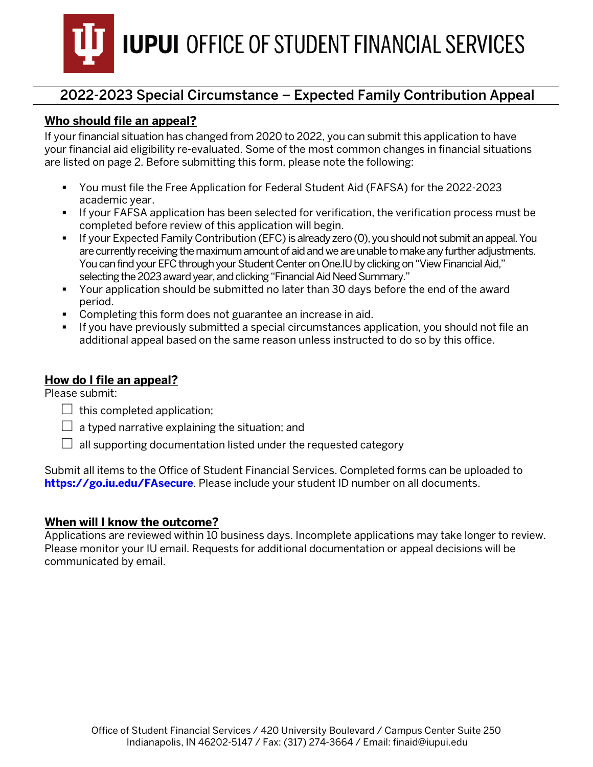

### **Who should file an appeal?**

If your financial situation has changed from 2020 to 2022, you can submit this application to have your financial aid eligibility re-evaluated. Some of the most common changes in financial situations are listed on page 2. Before submitting this form, please note the following:

- You must file the Free Application for Federal Student Aid (FAFSA) for the 2022-2023 academic year.
- If your FAFSA application has been selected for verification, the verification process must be completed before review of this application will begin.
- If your Expected Family Contribution (EFC) is already zero (0), you should not submit an appeal. You are currently receiving the maximum amount of aid and we are unable to make any further adjustments. You can find your EFC through your Student Center on One. IU by clicking on "View Financial Aid," selecting the 2023 award year, and clicking "Financial Aid Need Summary."
- Your application should be submitted no later than 30 days before the end of the award period.
- Completing this form does not guarantee an increase in aid.
- If you have previously submitted a special circumstances application, you should not file an additional appeal based on the same reason unless instructed to do so by this office.

#### **How do I file an appeal?**

Please submit:

- $\Box$  this completed application;
- $\Box$  a typed narrative explaining the situation; and
- $\Box$  all supporting documentation listed under the requested category

Submit all items to the Office of Student Financial Services. Completed forms can be uploaded to **[https://go.iu.edu/FAsecure](https://go.iu.edu/fasecure)**. Please include your student ID number on all documents.

#### **When will I know the outcome?**

Applications are reviewed within 10 business days. Incomplete applications may take longer to review. Please monitor your IU email. Requests for additional documentation or appeal decisions will be communicated by email.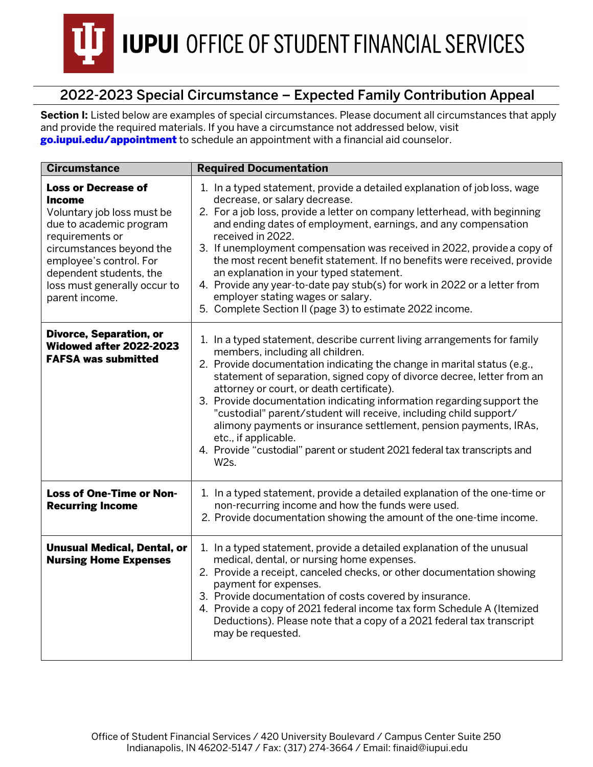

Section I: Listed below are examples of special circumstances. Please document all circumstances that apply and provide the required materials. If you have a circumstance not addressed below, visit [go.iupui.edu/appointment](https://studentcentral.iupui.edu/contact/appointment.html) to schedule an appointment with a financial aid counselor.

| <b>Circumstance</b>                                                                                                                                                                                                                                  | <b>Required Documentation</b>                                                                                                                                                                                                                                                                                                                                                                                                                                                                                                                                                                                                                                  |  |  |
|------------------------------------------------------------------------------------------------------------------------------------------------------------------------------------------------------------------------------------------------------|----------------------------------------------------------------------------------------------------------------------------------------------------------------------------------------------------------------------------------------------------------------------------------------------------------------------------------------------------------------------------------------------------------------------------------------------------------------------------------------------------------------------------------------------------------------------------------------------------------------------------------------------------------------|--|--|
| <b>Loss or Decrease of</b><br>Income<br>Voluntary job loss must be<br>due to academic program<br>requirements or<br>circumstances beyond the<br>employee's control. For<br>dependent students, the<br>loss must generally occur to<br>parent income. | 1. In a typed statement, provide a detailed explanation of job loss, wage<br>decrease, or salary decrease.<br>2. For a job loss, provide a letter on company letterhead, with beginning<br>and ending dates of employment, earnings, and any compensation<br>received in 2022.<br>3. If unemployment compensation was received in 2022, provide a copy of<br>the most recent benefit statement. If no benefits were received, provide<br>an explanation in your typed statement.<br>4. Provide any year-to-date pay stub(s) for work in 2022 or a letter from<br>employer stating wages or salary.<br>5. Complete Section II (page 3) to estimate 2022 income. |  |  |
| <b>Divorce, Separation, or</b><br>Widowed after 2022-2023<br><b>FAFSA was submitted</b>                                                                                                                                                              | 1. In a typed statement, describe current living arrangements for family<br>members, including all children.<br>2. Provide documentation indicating the change in marital status (e.g.,<br>statement of separation, signed copy of divorce decree, letter from an<br>attorney or court, or death certificate).<br>3. Provide documentation indicating information regarding support the<br>"custodial" parent/student will receive, including child support/<br>alimony payments or insurance settlement, pension payments, IRAs,<br>etc., if applicable.<br>4. Provide "custodial" parent or student 2021 federal tax transcripts and<br>W <sub>2s</sub> .    |  |  |
| Loss of One-Time or Non-<br><b>Recurring Income</b>                                                                                                                                                                                                  | 1. In a typed statement, provide a detailed explanation of the one-time or<br>non-recurring income and how the funds were used.<br>2. Provide documentation showing the amount of the one-time income.                                                                                                                                                                                                                                                                                                                                                                                                                                                         |  |  |
| <b>Unusual Medical, Dental, or</b><br><b>Nursing Home Expenses</b>                                                                                                                                                                                   | 1. In a typed statement, provide a detailed explanation of the unusual<br>medical, dental, or nursing home expenses.<br>2. Provide a receipt, canceled checks, or other documentation showing<br>payment for expenses.<br>3. Provide documentation of costs covered by insurance.<br>4. Provide a copy of 2021 federal income tax form Schedule A (Itemized<br>Deductions). Please note that a copy of a 2021 federal tax transcript<br>may be requested.                                                                                                                                                                                                      |  |  |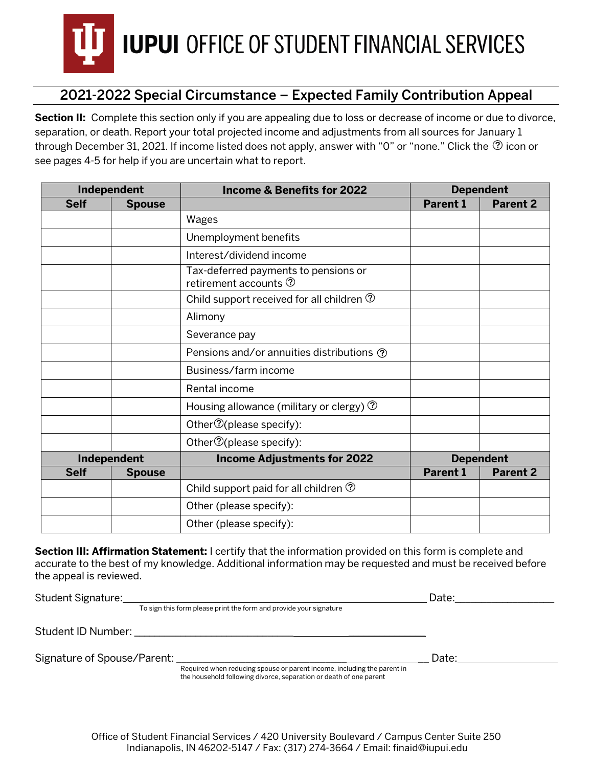

**Section II:** Complete this section only if you are appealing due to loss or decrease of income or due to divorce, separation, or death. Report your total projected income and adjustments from all sources for January 1 through December 31, 2021. If income listed does not apply, answer with "0" or "none." Click the  $@$  icon or see pages 4-5 for help if you are uncertain what to report.

| Independent |               | <b>Income &amp; Benefits for 2022</b>                                     | <b>Dependent</b> |                 |
|-------------|---------------|---------------------------------------------------------------------------|------------------|-----------------|
| <b>Self</b> | <b>Spouse</b> |                                                                           | <b>Parent 1</b>  | <b>Parent 2</b> |
|             |               | Wages                                                                     |                  |                 |
|             |               | Unemployment benefits                                                     |                  |                 |
|             |               | Interest/dividend income                                                  |                  |                 |
|             |               | Tax-deferred payments to pensions or<br>retirement accounts $\circled{2}$ |                  |                 |
|             |               | Child support received for all children $\circled{2}$                     |                  |                 |
|             |               | Alimony                                                                   |                  |                 |
|             |               | Severance pay                                                             |                  |                 |
|             |               | Pensions and/or annuities distributions ①                                 |                  |                 |
|             |               | Business/farm income                                                      |                  |                 |
|             |               | Rental income                                                             |                  |                 |
|             |               | Housing allowance (military or clergy) $\circled{2}$                      |                  |                 |
|             |               | Other $\mathcal{D}$ (please specify):                                     |                  |                 |
|             |               | Other <sup>7</sup> (please specify):                                      |                  |                 |
|             | Independent   | <b>Income Adjustments for 2022</b>                                        | <b>Dependent</b> |                 |
| <b>Self</b> | <b>Spouse</b> |                                                                           | <b>Parent 1</b>  | <b>Parent 2</b> |
|             |               | Child support paid for all children $\circled{?}$                         |                  |                 |
|             |               | Other (please specify):                                                   |                  |                 |
|             |               | Other (please specify):                                                   |                  |                 |

**Section III: Affirmation Statement:** I certify that the information provided on this form is complete and accurate to the best of my knowledge. Additional information may be requested and must be received before the appeal is reviewed.

| Student Signature:          |                                                                                                                                               | Date: |
|-----------------------------|-----------------------------------------------------------------------------------------------------------------------------------------------|-------|
|                             | To sign this form please print the form and provide your signature                                                                            |       |
| Student ID Number:          |                                                                                                                                               |       |
| Signature of Spouse/Parent: |                                                                                                                                               | Date: |
|                             | Required when reducing spouse or parent income, including the parent in<br>the household following divorce, separation or death of one parent |       |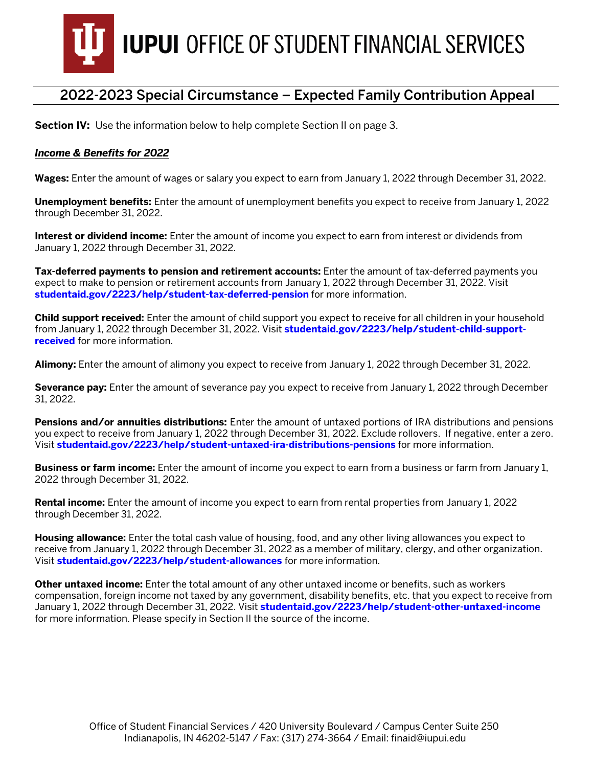

**Section IV:** Use the information below to help complete Section II on page 3.

#### *Income & Benefits for 2022*

**Wages:** Enter the amount of wages or salary you expect to earn from January 1, 2022 through December 31, 2022.

**Unemployment benefits:** Enter the amount of unemployment benefits you expect to receive from January 1, 2022 through December 31, 2022.

**Interest or dividend income:** Enter the amount of income you expect to earn from interest or dividends from January 1, 2022 through December 31, 2022.

**Tax-deferred payments to pension and retirement accounts:** Enter the amount of tax-deferred payments you expect to make to pension or retirement accounts from January 1, 2022 through December 31, 2022. Visit **studentaid.gov/2223/help/stud[ent-tax-deferred-pension](https://studentaid.gov/2122/help/student-tax-deferred-pension)** for more information.

**Child support received:** Enter the amount of child support you expect to receive for all children in your household from January 1, 2022 through December 31, 2022. Visit **studentaid.gov/2223[/help/student-child-support](https://studentaid.gov/2122/help/student-child-support-received)[received](https://studentaid.gov/2122/help/student-child-support-received)** for more information.

**Alimony:** Enter the amount of alimony you expect to receive from January 1, 2022 through December 31, 2022.

**Severance pay:** Enter the amount of severance pay you expect to receive from January 1, 2022 through December 31, 2022.

**Pensions and/or annuities distributions:** Enter the amount of untaxed portions of IRA distributions and pensions you expect to receive from January 1, 2022 through December 31, 2022. Exclude rollovers. If negative, enter a zero. Visit **[studentaid.gov/2223/help/student-untaxed-ira-distributions-pensions](https://studentaid.gov/2122/help/student-untaxed-ira-distributions-pensions)** for more information.

**Business or farm income:** Enter the amount of income you expect to earn from a business or farm from January 1, 2022 through December 31, 2022.

**Rental income:** Enter the amount of income you expect to earn from rental properties from January 1, 2022 through December 31, 2022.

**Housing allowance:** Enter the total cash value of housing, food, and any other living allowances you expect to receive from January 1, 2022 through December 31, 2022 as a member of military, clergy, and other organization. Visit **studentaid.gov/2223[/help/student-allowances](https://studentaid.gov/2122/help/student-allowances)** for more information.

**Other untaxed income:** Enter the total amount of any other untaxed income or benefits, such as workers compensation, foreign income not taxed by any government, disability benefits, etc. that you expect to receive from January 1, 2022 through December 31, 2022. Visit **studentaid.gov/2223[/help/student-other-untaxed-income](https://studentaid.gov/2122/help/student-other-untaxed-income)** for more information. Please specify in Section II the source of the income.